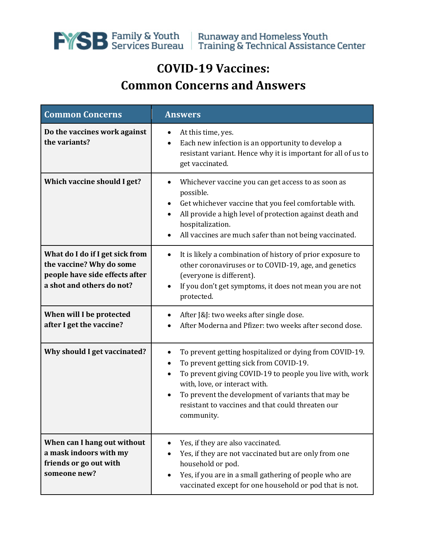

## **COVID-19 Vaccines: Common Concerns and Answers**

| <b>Common Concerns</b>                                                                                                     | <b>Answers</b>                                                                                                                                                                                                                                                                                                                                 |
|----------------------------------------------------------------------------------------------------------------------------|------------------------------------------------------------------------------------------------------------------------------------------------------------------------------------------------------------------------------------------------------------------------------------------------------------------------------------------------|
| Do the vaccines work against<br>the variants?                                                                              | At this time, yes.<br>Each new infection is an opportunity to develop a<br>٠<br>resistant variant. Hence why it is important for all of us to<br>get vaccinated.                                                                                                                                                                               |
| Which vaccine should I get?                                                                                                | Whichever vaccine you can get access to as soon as<br>possible.<br>Get whichever vaccine that you feel comfortable with.<br>All provide a high level of protection against death and<br>hospitalization.<br>All vaccines are much safer than not being vaccinated.<br>٠                                                                        |
| What do I do if I get sick from<br>the vaccine? Why do some<br>people have side effects after<br>a shot and others do not? | It is likely a combination of history of prior exposure to<br>٠<br>other coronaviruses or to COVID-19, age, and genetics<br>(everyone is different).<br>If you don't get symptoms, it does not mean you are not<br>protected.                                                                                                                  |
| When will I be protected<br>after I get the vaccine?                                                                       | After J&J: two weeks after single dose.<br>After Moderna and Pfizer: two weeks after second dose.                                                                                                                                                                                                                                              |
| Why should I get vaccinated?                                                                                               | To prevent getting hospitalized or dying from COVID-19.<br>٠<br>To prevent getting sick from COVID-19.<br>٠<br>To prevent giving COVID-19 to people you live with, work<br>$\bullet$<br>with, love, or interact with.<br>To prevent the development of variants that may be<br>resistant to vaccines and that could threaten our<br>community. |
| When can I hang out without<br>a mask indoors with my<br>friends or go out with<br>someone new?                            | Yes, if they are also vaccinated.<br>Yes, if they are not vaccinated but are only from one<br>household or pod.<br>Yes, if you are in a small gathering of people who are<br>$\bullet$<br>vaccinated except for one household or pod that is not.                                                                                              |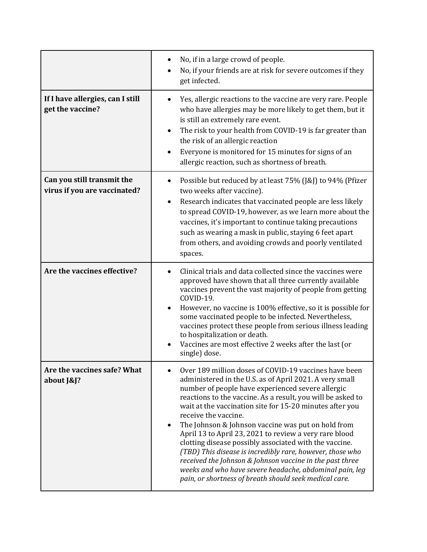|                                                            | No, if in a large crowd of people.<br>No, if your friends are at risk for severe outcomes if they<br>get infected.                                                                                                                                                                                                                                                                                                                                                                                                                                                                                                                                                                                                                               |
|------------------------------------------------------------|--------------------------------------------------------------------------------------------------------------------------------------------------------------------------------------------------------------------------------------------------------------------------------------------------------------------------------------------------------------------------------------------------------------------------------------------------------------------------------------------------------------------------------------------------------------------------------------------------------------------------------------------------------------------------------------------------------------------------------------------------|
| If I have allergies, can I still<br>get the vaccine?       | Yes, allergic reactions to the vaccine are very rare. People<br>who have allergies may be more likely to get them, but it<br>is still an extremely rare event.<br>The risk to your health from COVID-19 is far greater than<br>the risk of an allergic reaction<br>Everyone is monitored for 15 minutes for signs of an<br>allergic reaction, such as shortness of breath.                                                                                                                                                                                                                                                                                                                                                                       |
| Can you still transmit the<br>virus if you are vaccinated? | Possible but reduced by at least 75% (J&J) to 94% (Pfizer<br>two weeks after vaccine).<br>Research indicates that vaccinated people are less likely<br>to spread COVID-19, however, as we learn more about the<br>vaccines, it's important to continue taking precautions<br>such as wearing a mask in public, staying 6 feet apart<br>from others, and avoiding crowds and poorly ventilated<br>spaces.                                                                                                                                                                                                                                                                                                                                         |
| Are the vaccines effective?                                | Clinical trials and data collected since the vaccines were<br>approved have shown that all three currently available<br>vaccines prevent the vast majority of people from getting<br>COVID-19.<br>However, no vaccine is 100% effective, so it is possible for<br>some vaccinated people to be infected. Nevertheless,<br>vaccines protect these people from serious illness leading<br>to hospitalization or death.<br>Vaccines are most effective 2 weeks after the last (or<br>single) dose.                                                                                                                                                                                                                                                  |
| Are the vaccines safe? What<br>about [&]?                  | Over 189 million doses of COVID-19 vaccines have been<br>administered in the U.S. as of April 2021. A very small<br>number of people have experienced severe allergic<br>reactions to the vaccine. As a result, you will be asked to<br>wait at the vaccination site for 15-20 minutes after you<br>receive the vaccine.<br>The Johnson & Johnson vaccine was put on hold from<br>April 13 to April 23, 2021 to review a very rare blood<br>clotting disease possibly associated with the vaccine.<br>(TBD) This disease is incredibly rare, however, those who<br>received the Johnson & Johnson vaccine in the past three<br>weeks and who have severe headache, abdominal pain, leg<br>pain, or shortness of breath should seek medical care. |